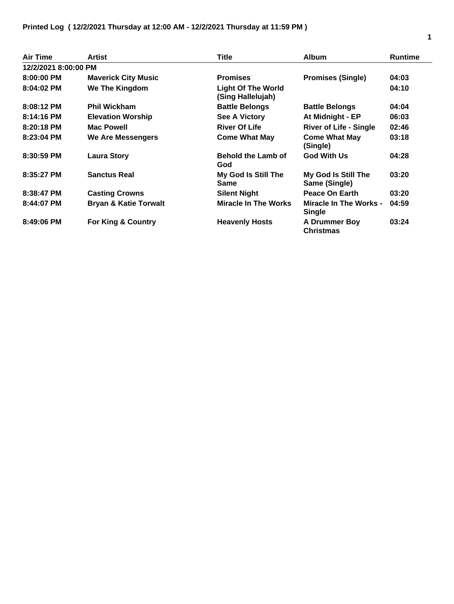| Air Time             | <b>Artist</b>                    | Title                                          | <b>Album</b>                                   | <b>Runtime</b> |  |  |  |
|----------------------|----------------------------------|------------------------------------------------|------------------------------------------------|----------------|--|--|--|
| 12/2/2021 8:00:00 PM |                                  |                                                |                                                |                |  |  |  |
| $8:00:00$ PM         | <b>Maverick City Music</b>       | <b>Promises</b>                                | <b>Promises (Single)</b>                       | 04:03          |  |  |  |
| $8:04:02$ PM         | We The Kingdom                   | <b>Light Of The World</b><br>(Sing Hallelujah) |                                                | 04:10          |  |  |  |
| $8:08:12$ PM         | <b>Phil Wickham</b>              | <b>Battle Belongs</b>                          | <b>Battle Belongs</b>                          | 04:04          |  |  |  |
| 8:14:16 PM           | <b>Elevation Worship</b>         | <b>See A Victory</b>                           | At Midnight - EP                               | 06:03          |  |  |  |
| $8:20:18$ PM         | <b>Mac Powell</b>                | <b>River Of Life</b>                           | <b>River of Life - Single</b>                  | 02:46          |  |  |  |
| 8:23:04 PM           | We Are Messengers                | <b>Come What May</b>                           | <b>Come What May</b><br>(Single)               | 03:18          |  |  |  |
| 8:30:59 PM           | <b>Laura Story</b>               | <b>Behold the Lamb of</b><br>God               | <b>God With Us</b>                             | 04:28          |  |  |  |
| 8:35:27 PM           | <b>Sanctus Real</b>              | My God Is Still The<br><b>Same</b>             | My God Is Still The<br>Same (Single)           | 03:20          |  |  |  |
| 8:38:47 PM           | <b>Casting Crowns</b>            | <b>Silent Night</b>                            | Peace On Earth                                 | 03:20          |  |  |  |
| 8:44:07 PM           | <b>Bryan &amp; Katie Torwalt</b> | <b>Miracle In The Works</b>                    | <b>Miracle In The Works -</b><br><b>Single</b> | 04:59          |  |  |  |
| 8:49:06 PM           | For King & Country               | <b>Heavenly Hosts</b>                          | <b>A Drummer Boy</b><br><b>Christmas</b>       | 03:24          |  |  |  |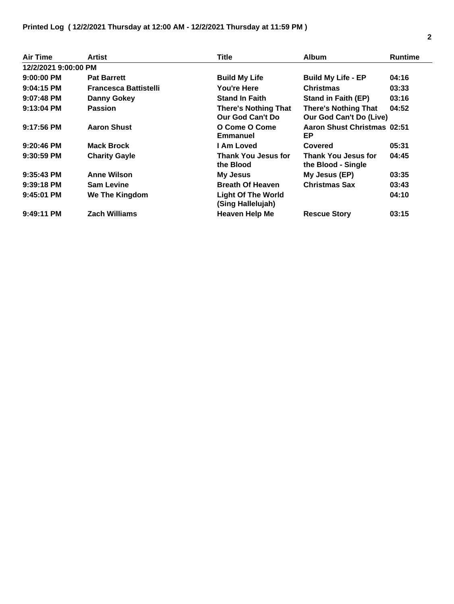| <b>Air Time</b>      | <b>Artist</b>                | <b>Title</b>                                    | <b>Album</b>                                           | <b>Runtime</b> |  |  |  |
|----------------------|------------------------------|-------------------------------------------------|--------------------------------------------------------|----------------|--|--|--|
| 12/2/2021 9:00:00 PM |                              |                                                 |                                                        |                |  |  |  |
| $9:00:00$ PM         | <b>Pat Barrett</b>           | <b>Build My Life</b>                            | <b>Build My Life - EP</b>                              | 04:16          |  |  |  |
| 9:04:15 PM           | <b>Francesca Battistelli</b> | You're Here                                     | <b>Christmas</b>                                       | 03:33          |  |  |  |
| $9:07:48$ PM         | <b>Danny Gokey</b>           | <b>Stand In Faith</b>                           | <b>Stand in Faith (EP)</b>                             | 03:16          |  |  |  |
| $9:13:04$ PM         | <b>Passion</b>               | <b>There's Nothing That</b><br>Our God Can't Do | <b>There's Nothing That</b><br>Our God Can't Do (Live) | 04:52          |  |  |  |
| $9:17:56$ PM         | <b>Aaron Shust</b>           | O Come O Come<br><b>Emmanuel</b>                | Aaron Shust Christmas 02:51<br>EP.                     |                |  |  |  |
| $9:20:46$ PM         | <b>Mack Brock</b>            | I Am Loved                                      | Covered                                                | 05:31          |  |  |  |
| $9:30:59$ PM         | <b>Charity Gayle</b>         | Thank You Jesus for<br>the Blood                | <b>Thank You Jesus for</b><br>the Blood - Single       | 04:45          |  |  |  |
| $9:35:43$ PM         | <b>Anne Wilson</b>           | <b>My Jesus</b>                                 | My Jesus (EP)                                          | 03:35          |  |  |  |
| $9:39:18$ PM         | <b>Sam Levine</b>            | <b>Breath Of Heaven</b>                         | <b>Christmas Sax</b>                                   | 03:43          |  |  |  |
| $9:45:01$ PM         | We The Kingdom               | <b>Light Of The World</b><br>(Sing Hallelujah)  |                                                        | 04:10          |  |  |  |
| $9:49:11$ PM         | <b>Zach Williams</b>         | <b>Heaven Help Me</b>                           | <b>Rescue Story</b>                                    | 03:15          |  |  |  |